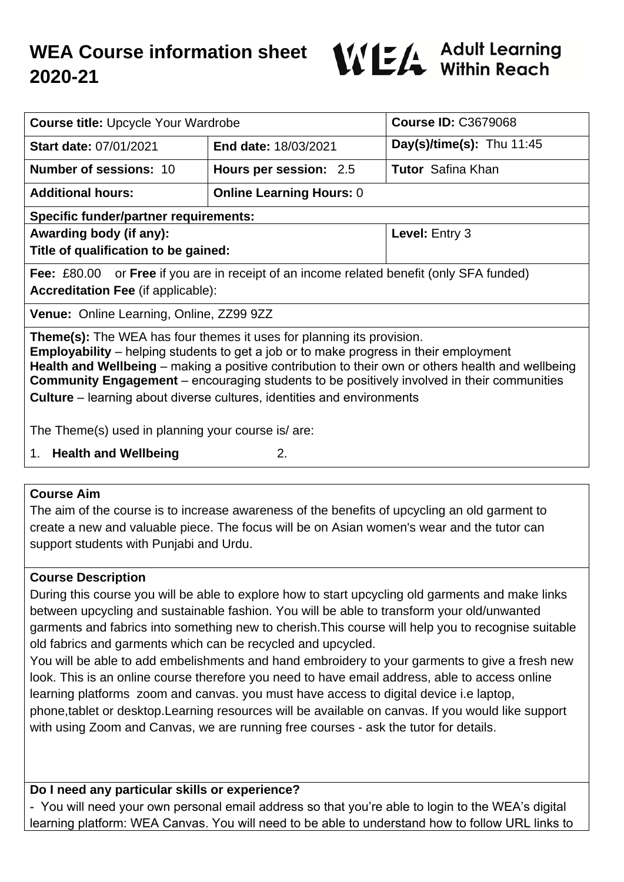# **WEA Course information sheet 2020-21**



| <b>Course title: Upcycle Your Wardrobe</b>                                                                                                                                                                                                                                                                                                                                                                                                                              |                                 | <b>Course ID: C3679068</b>  |
|-------------------------------------------------------------------------------------------------------------------------------------------------------------------------------------------------------------------------------------------------------------------------------------------------------------------------------------------------------------------------------------------------------------------------------------------------------------------------|---------------------------------|-----------------------------|
| <b>Start date: 07/01/2021</b>                                                                                                                                                                                                                                                                                                                                                                                                                                           | End date: 18/03/2021            | Day(s)/time(s): Thu $11:45$ |
| <b>Number of sessions: 10</b>                                                                                                                                                                                                                                                                                                                                                                                                                                           | Hours per session: 2.5          | <b>Tutor</b> Safina Khan    |
| <b>Additional hours:</b>                                                                                                                                                                                                                                                                                                                                                                                                                                                | <b>Online Learning Hours: 0</b> |                             |
| <b>Specific funder/partner requirements:</b>                                                                                                                                                                                                                                                                                                                                                                                                                            |                                 |                             |
| Awarding body (if any):                                                                                                                                                                                                                                                                                                                                                                                                                                                 |                                 | Level: Entry 3              |
| Title of qualification to be gained:                                                                                                                                                                                                                                                                                                                                                                                                                                    |                                 |                             |
| <b>Fee:</b> £80.00 or <b>Free</b> if you are in receipt of an income related benefit (only SFA funded)                                                                                                                                                                                                                                                                                                                                                                  |                                 |                             |
| <b>Accreditation Fee (if applicable):</b>                                                                                                                                                                                                                                                                                                                                                                                                                               |                                 |                             |
| Venue: Online Learning, Online, ZZ99 9ZZ                                                                                                                                                                                                                                                                                                                                                                                                                                |                                 |                             |
| <b>Theme(s):</b> The WEA has four themes it uses for planning its provision.<br><b>Employability</b> – helping students to get a job or to make progress in their employment<br>Health and Wellbeing – making a positive contribution to their own or others health and wellbeing<br><b>Community Engagement</b> – encouraging students to be positively involved in their communities<br><b>Culture</b> – learning about diverse cultures, identities and environments |                                 |                             |
| The Theme(s) used in planning your course is/ are:<br>1. Health and Wellbeing<br>2.                                                                                                                                                                                                                                                                                                                                                                                     |                                 |                             |
|                                                                                                                                                                                                                                                                                                                                                                                                                                                                         |                                 |                             |

## **Course Aim**

The aim of the course is to increase awareness of the benefits of upcycling an old garment to create a new and valuable piece. The focus will be on Asian women's wear and the tutor can support students with Punjabi and Urdu.

## **Course Description**

During this course you will be able to explore how to start upcycling old garments and make links between upcycling and sustainable fashion. You will be able to transform your old/unwanted garments and fabrics into something new to cherish.This course will help you to recognise suitable old fabrics and garments which can be recycled and upcycled.

You will be able to add embelishments and hand embroidery to your garments to give a fresh new look. This is an online course therefore you need to have email address, able to access online learning platforms zoom and canvas. you must have access to digital device i.e laptop, phone,tablet or desktop.Learning resources will be available on canvas. If you would like support with using Zoom and Canvas, we are running free courses - ask the tutor for details.

## **Do I need any particular skills or experience?**

- You will need your own personal email address so that you're able to login to the WEA's digital learning platform: WEA Canvas. You will need to be able to understand how to follow URL links to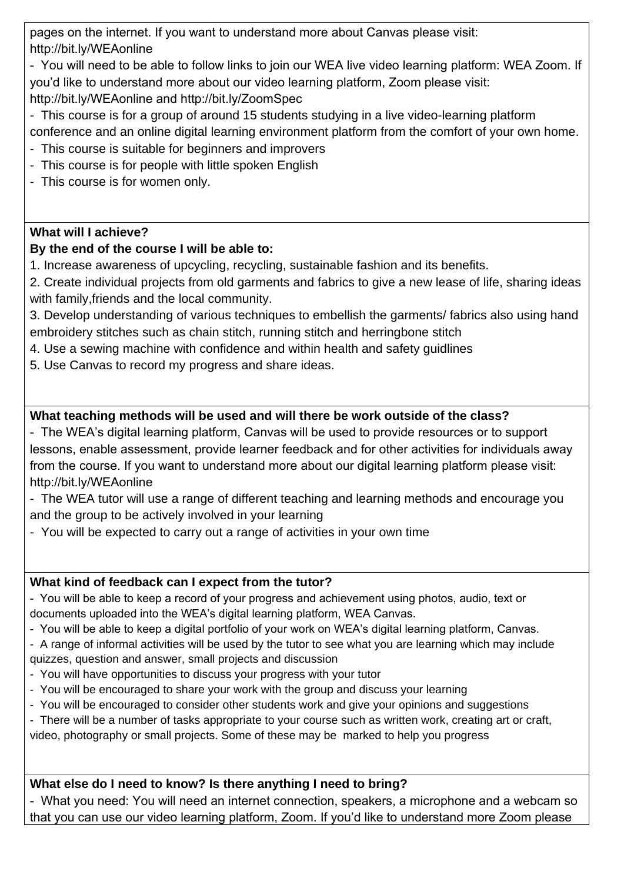pages on the internet. If you want to understand more about Canvas please visit: http://bit.ly/WEAonline

- You will need to be able to follow links to join our WEA live video learning platform: WEA Zoom. If you'd like to understand more about our video learning platform, Zoom please visit: http://bit.ly/WEAonline and http://bit.ly/ZoomSpec

- This course is for a group of around 15 students studying in a live video-learning platform conference and an online digital learning environment platform from the comfort of your own home.
- This course is suitable for beginners and improvers
- This course is for people with little spoken English
- This course is for women only.

## **What will I achieve?**

# **By the end of the course I will be able to:**

1. Increase awareness of upcycling, recycling, sustainable fashion and its benefits.

2. Create individual projects from old garments and fabrics to give a new lease of life, sharing ideas with family,friends and the local community.

3. Develop understanding of various techniques to embellish the garments/ fabrics also using hand embroidery stitches such as chain stitch, running stitch and herringbone stitch

- 4. Use a sewing machine with confidence and within health and safety guidlines
- 5. Use Canvas to record my progress and share ideas.

# **What teaching methods will be used and will there be work outside of the class?**

- The WEA's digital learning platform, Canvas will be used to provide resources or to support lessons, enable assessment, provide learner feedback and for other activities for individuals away from the course. If you want to understand more about our digital learning platform please visit: http://bit.ly/WEAonline

- The WEA tutor will use a range of different teaching and learning methods and encourage you and the group to be actively involved in your learning

- You will be expected to carry out a range of activities in your own time

## **What kind of feedback can I expect from the tutor?**

- You will be able to keep a record of your progress and achievement using photos, audio, text or documents uploaded into the WEA's digital learning platform, WEA Canvas.

- You will be able to keep a digital portfolio of your work on WEA's digital learning platform, Canvas.

- A range of informal activities will be used by the tutor to see what you are learning which may include quizzes, question and answer, small projects and discussion

- You will have opportunities to discuss your progress with your tutor
- You will be encouraged to share your work with the group and discuss your learning
- You will be encouraged to consider other students work and give your opinions and suggestions

- There will be a number of tasks appropriate to your course such as written work, creating art or craft,

video, photography or small projects. Some of these may be marked to help you progress

## **What else do I need to know? Is there anything I need to bring?**

- What you need: You will need an internet connection, speakers, a microphone and a webcam so that you can use our video learning platform, Zoom. If you'd like to understand more Zoom please